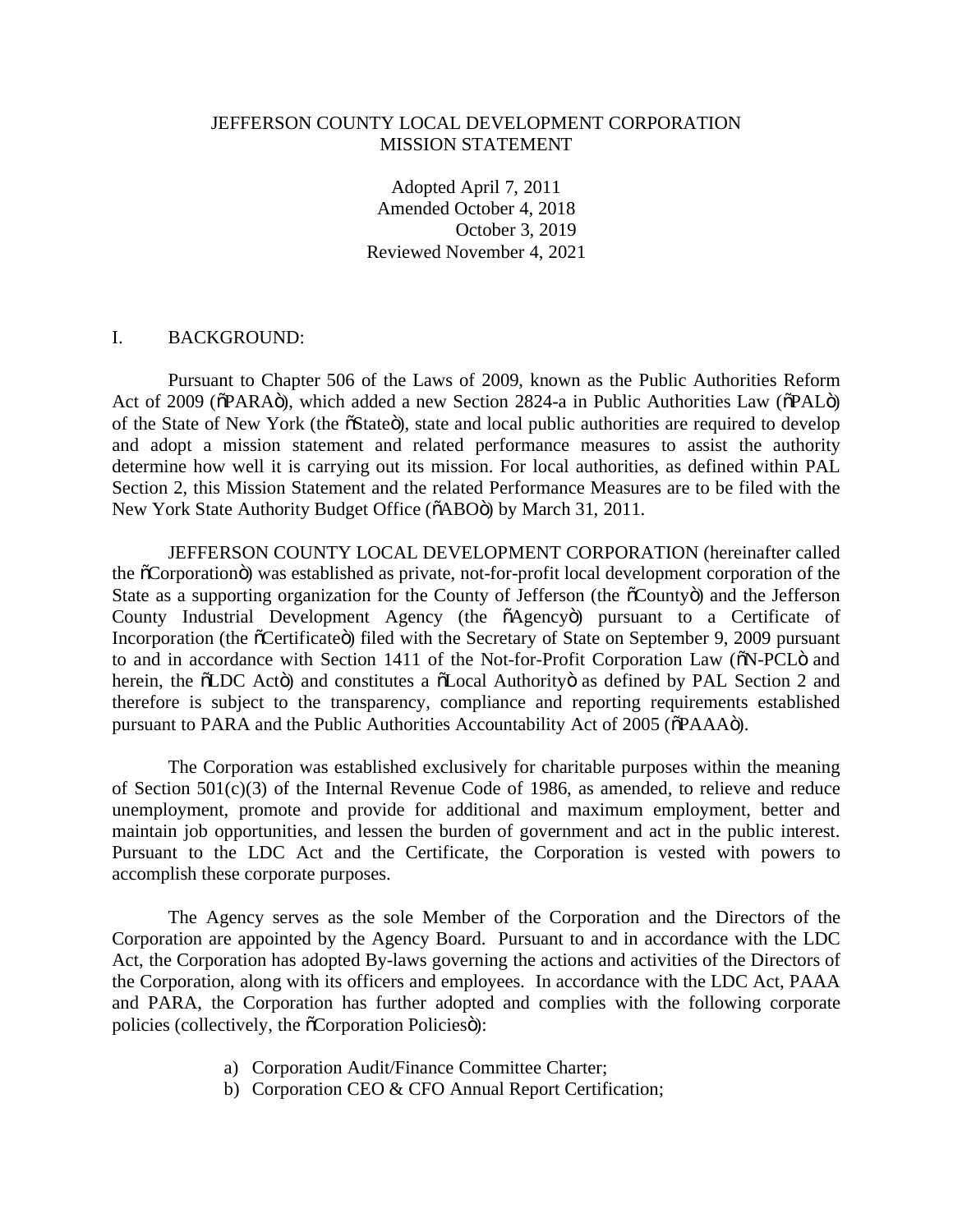## JEFFERSON COUNTY LOCAL DEVELOPMENT CORPORATION MISSION STATEMENT

Adopted April 7, 2011 Amended October 4, 2018 October 3, 2019 Reviewed November 4, 2021

## I. BACKGROUND:

Pursuant to Chapter 506 of the Laws of 2009, known as the Public Authorities Reform Act of 2009 ( $\delta$ PARA $\ddot{o}$ ), which added a new Section 2824-a in Public Authorities Law ( $\delta$ PAL $\ddot{o}$ ) of the State of New York (the  $\tilde{o}$ State $\tilde{o}$ ), state and local public authorities are required to develop and adopt a mission statement and related performance measures to assist the authority determine how well it is carrying out its mission. For local authorities, as defined within PAL Section 2, this Mission Statement and the related Performance Measures are to be filed with the New York State Authority Budget Office ( $\delta$ ABO $\ddot{o}$ ) by March 31, 2011.

JEFFERSON COUNTY LOCAL DEVELOPMENT CORPORATION (hereinafter called the "Corporation") was established as private, not-for-profit local development corporation of the State as a supporting organization for the County of Jefferson (the  $\tilde{\sigma}$ County $\ddot{\sigma}$ ) and the Jefferson County Industrial Development Agency (the  $\tilde{o}$ Agency $\tilde{o}$ ) pursuant to a Certificate of Incorporation (the  $\tilde{C}$ Certificate $\tilde{C}$ ) filed with the Secretary of State on September 9, 2009 pursuant to and in accordance with Section 1411 of the Not-for-Profit Corporation Law ( $\delta N$ -PCL $\ddot{o}$  and herein, the  $\delta$ LDC Actö) and constitutes a  $\delta$ Local Authorityö as defined by PAL Section 2 and therefore is subject to the transparency, compliance and reporting requirements established pursuant to PARA and the Public Authorities Accountability Act of 2005 ( $\delta$ PAAA $\ddot{o}$ ).

The Corporation was established exclusively for charitable purposes within the meaning of Section 501(c)(3) of the Internal Revenue Code of 1986, as amended, to relieve and reduce unemployment, promote and provide for additional and maximum employment, better and maintain job opportunities, and lessen the burden of government and act in the public interest. Pursuant to the LDC Act and the Certificate, the Corporation is vested with powers to accomplish these corporate purposes.

The Agency serves as the sole Member of the Corporation and the Directors of the Corporation are appointed by the Agency Board. Pursuant to and in accordance with the LDC Act, the Corporation has adopted By-laws governing the actions and activities of the Directors of the Corporation, along with its officers and employees. In accordance with the LDC Act, PAAA and PARA, the Corporation has further adopted and complies with the following corporate policies (collectively, the  $\tilde{c}$ Corporation Policiesö):

- a) Corporation Audit/Finance Committee Charter;
- b) Corporation CEO & CFO Annual Report Certification;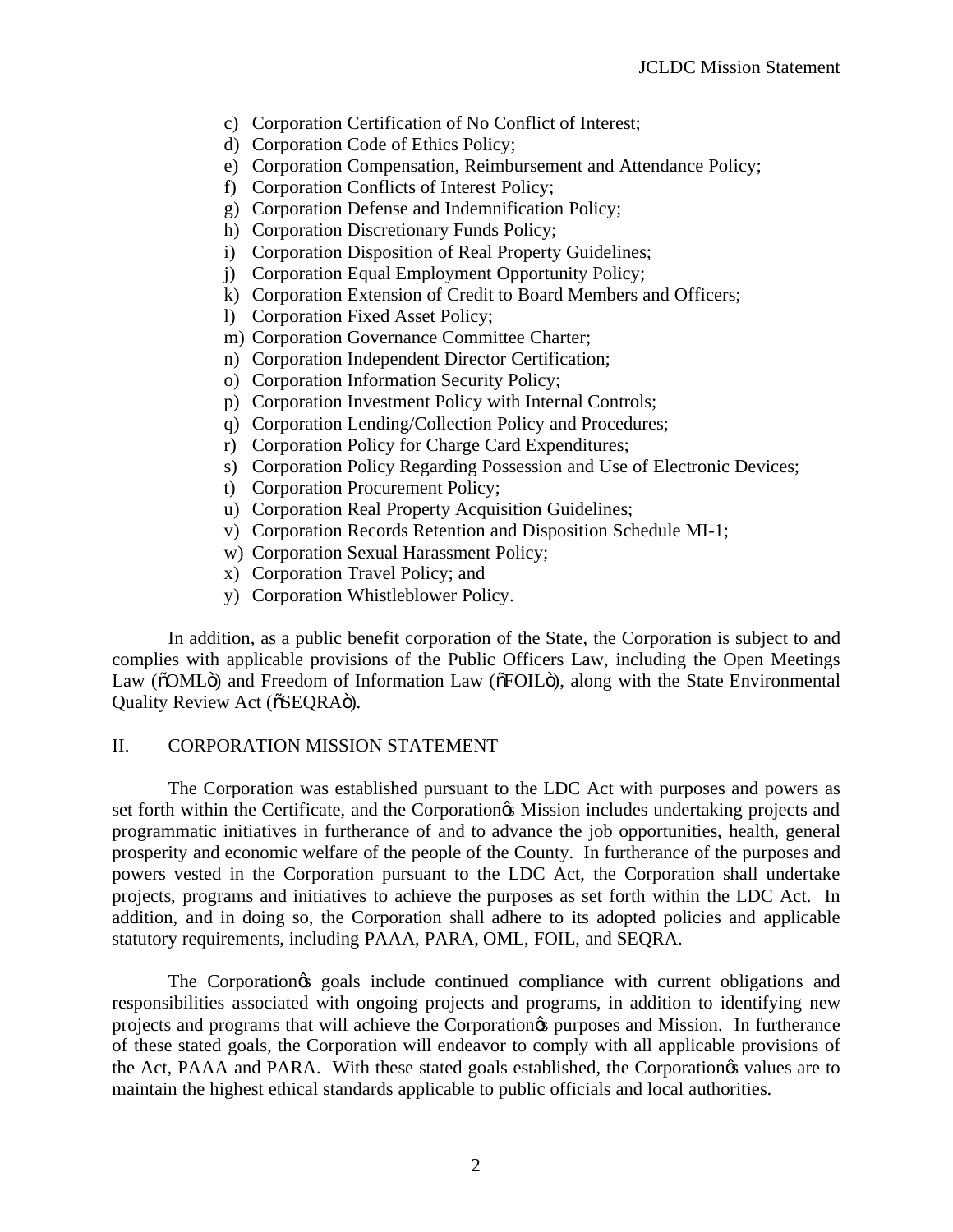- c) Corporation Certification of No Conflict of Interest;
- d) Corporation Code of Ethics Policy;
- e) Corporation Compensation, Reimbursement and Attendance Policy;
- f) Corporation Conflicts of Interest Policy;
- g) Corporation Defense and Indemnification Policy;
- h) Corporation Discretionary Funds Policy;
- i) Corporation Disposition of Real Property Guidelines;
- j) Corporation Equal Employment Opportunity Policy;
- k) Corporation Extension of Credit to Board Members and Officers;
- l) Corporation Fixed Asset Policy;
- m) Corporation Governance Committee Charter;
- n) Corporation Independent Director Certification;
- o) Corporation Information Security Policy;
- p) Corporation Investment Policy with Internal Controls;
- q) Corporation Lending/Collection Policy and Procedures;
- r) Corporation Policy for Charge Card Expenditures;
- s) Corporation Policy Regarding Possession and Use of Electronic Devices;
- t) Corporation Procurement Policy;
- u) Corporation Real Property Acquisition Guidelines;
- v) Corporation Records Retention and Disposition Schedule MI-1;
- w) Corporation Sexual Harassment Policy;
- x) Corporation Travel Policy; and
- y) Corporation Whistleblower Policy.

In addition, as a public benefit corporation of the State, the Corporation is subject to and complies with applicable provisions of the Public Officers Law, including the Open Meetings Law ( $\delta$ OML $\ddot{o}$ ) and Freedom of Information Law ( $\delta$ FOIL $\ddot{o}$ ), along with the State Environmental Quality Review Act ( $\delta$ SEQRA $\ddot{\text{o}}$ ).

## II. CORPORATION MISSION STATEMENT

The Corporation was established pursuant to the LDC Act with purposes and powers as set forth within the Certificate, and the Corporation & Mission includes undertaking projects and programmatic initiatives in furtherance of and to advance the job opportunities, health, general prosperity and economic welfare of the people of the County. In furtherance of the purposes and powers vested in the Corporation pursuant to the LDC Act, the Corporation shall undertake projects, programs and initiatives to achieve the purposes as set forth within the LDC Act. In addition, and in doing so, the Corporation shall adhere to its adopted policies and applicable statutory requirements, including PAAA, PARA, OML, FOIL, and SEQRA.

The Corporation's goals include continued compliance with current obligations and responsibilities associated with ongoing projects and programs, in addition to identifying new projects and programs that will achieve the Corporation's purposes and Mission. In furtherance of these stated goals, the Corporation will endeavor to comply with all applicable provisions of the Act, PAAA and PARA. With these stated goals established, the Corporation & values are to maintain the highest ethical standards applicable to public officials and local authorities.